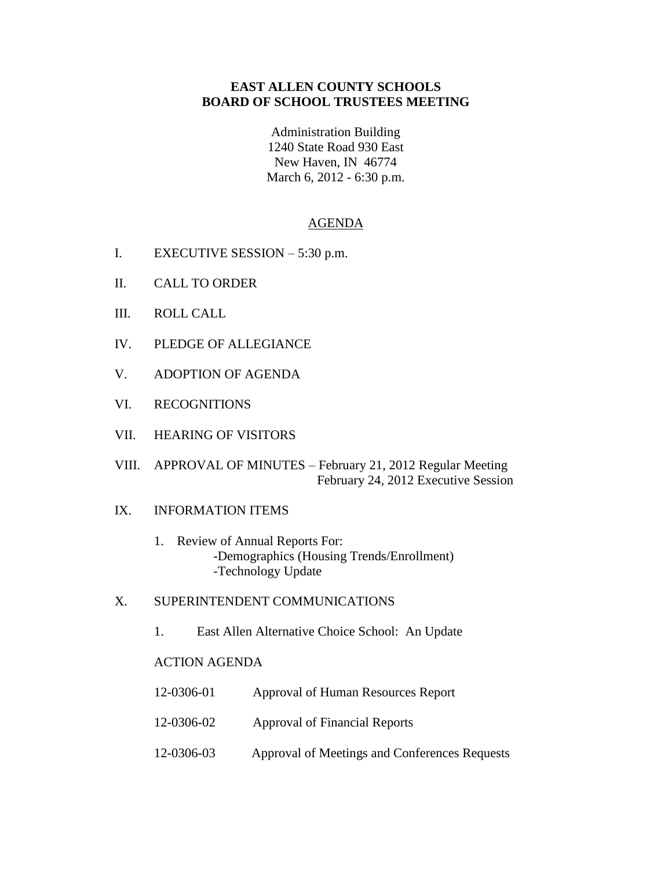## **EAST ALLEN COUNTY SCHOOLS BOARD OF SCHOOL TRUSTEES MEETING**

Administration Building 1240 State Road 930 East New Haven, IN 46774 March 6, 2012 - 6:30 p.m.

## AGENDA

- I. EXECUTIVE SESSION 5:30 p.m.
- II. CALL TO ORDER
- III. ROLL CALL
- IV. PLEDGE OF ALLEGIANCE
- V. ADOPTION OF AGENDA
- VI. RECOGNITIONS
- VII. HEARING OF VISITORS
- VIII. APPROVAL OF MINUTES February 21, 2012 Regular Meeting February 24, 2012 Executive Session

## IX. INFORMATION ITEMS

- 1. Review of Annual Reports For: -Demographics (Housing Trends/Enrollment) -Technology Update
- X. SUPERINTENDENT COMMUNICATIONS
	- 1. East Allen Alternative Choice School: An Update

## ACTION AGENDA

| 12-0306-01 | Approval of Human Resources Report            |
|------------|-----------------------------------------------|
| 12-0306-02 | Approval of Financial Reports                 |
| 12-0306-03 | Approval of Meetings and Conferences Requests |